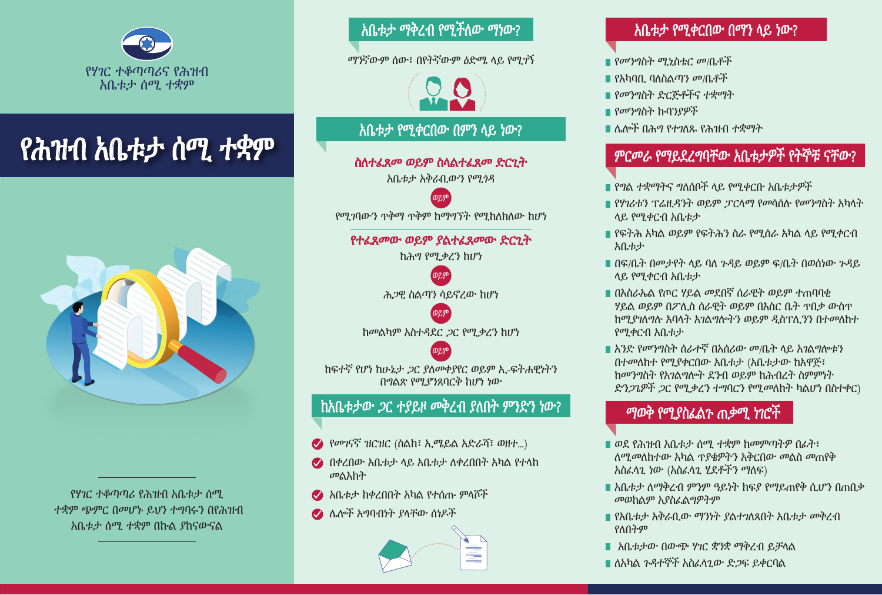

### ّة مندوبی شكاوى الجمھور .<br>የተብ አቢቲታ ሰማ *ተ* <u>ombo man the contract of</u> የሕዝብ አቤቱታ ሰሚ ተቋም



ሰመ ነው <mark>የሃገር ተቆጣጣሪ የሕዝብ አቤቱታ ሰሚ</mark> አቤቱ ተቋም ጭምር በመሆኑ ይህን ተግባሩን በየሕዝብ አቤቱታ ሰሚ ተቋም በኩል ያከናውናል

<u>\_አቤቱታ ማቅረብ የሚችለው ማነው?</u>

ማንኛውም ሰው፣ በየትኛውም *ዕ*ድሜ ላይ የሚ*ገ*ኝ

#### **الناصره** شارع بولص السادس ،85 المركز **على ماذا یمكن تقدیم الشكوى؟** الأبیض، الطابق الثالث، **?** እቤቱታ የሚቀርበው በምን ላይ ነው?

ص.ب. ،50400 1616202 ስለተፈጸመ ወይም ስላልተፈጸመ ድር<mark>ጊ</mark>ት

<u>አቤቱታ አቅራቢውን የሚነዳ</u> አቤቱታ አቅራቢውን የሚ*ጎ*ዳ or

 $m<sub>1</sub>$  bi $n<sub>1</sub>$ فاكس: 02-6665204 (طابق 13) مغدال ھتیخون، یحرمھ من منفعة ص.ب. ،<sup>7024</sup> أو የሚገባውን ጥቅማ ጥቅም ከማግኘት የሚከለክለው ከሆነ ወይም

 $\overline{0}$   $\overline{0}$   $\overline{1}$  $\mathbf{0}$   $\mathbf{0}$  $\overline{0}$  omin  $\overline{0}$  of  $\overline{0}$   $\overline{0}$   $\overline{0}$   $\overline{0}$   $\overline{0}$   $\overline{0}$   $\overline{0}$   $\overline{0}$   $\overline{0}$   $\overline{0}$   $\overline{0}$   $\overline{0}$   $\overline{0}$   $\overline{0}$   $\overline{0}$   $\overline{0}$   $\overline{0}$   $\overline{0}$   $\overline{0}$   $\overline{0}$   $\overline{0}$   $\overline{0$ የተፈጸመው ወይም ያልተፈጸመው ድር<mark>ጊ</mark>ት

ከ*ሕግ የሚቃረን ከሆነ* or

 $\bigcirc$ 

أو authority legal without is ወይም ሕ*ጋ*ዊ ስልጣን ሳይኖረው ከሆነ



خلاف

ከፍተኛ የሆነ ከሁኔታ *ጋ*ር ያለመቀያየር ወይም ኢ-ፍትሐዊነትን  $\frac{1}{2}$ በግልጽ የሚያንጸባርቅ ከሆነ ነው  $\mathbf{u}$ inflexibility excessive to amounts to a mounts of  $\mathbf{u}$ 

ወይም

#### **ما الذي یجب إرفاقھ مع الشكوى؟ ?complaint the to attached be must documents What** ከአቤቱታው ጋር ተያይዞ መቀረብ ያለበት ምንድን ነው?

- **׀**  $\bullet$  የመገናኛ ዝርዝር (ስልክ፣ ኢሜይል አድራሻ፣ ወዘተ...)
- $\bullet$  በቀረበው እቤቱታ ላይ እቤቱታ ለቀረበበተ አካል የተላከ በቀረበው አቤቱታ ላይ አቤቱታ ለቀረበበት አካል የተላከ about complained body the from received Replies መልእክት
- $\mathbb{R}^n$   $\mathbb{Z}^n$   $\mathbb{Z}^n$   $\mathbb{Z}^n$   $\mathbb{Z}^n$   $\mathbb{Z}^n$   $\mathbb{Z}^n$   $\mathbb{Z}^n$   $\mathbb{Z}^n$   $\mathbb{Z}^n$   $\mathbb{Z}^n$   $\mathbb{Z}^n$   $\mathbb{Z}^n$   $\mathbb{Z}^n$   $\mathbb{Z}^n$   $\mathbb{Z}^n$   $\mathbb{Z}^n$   $\mathbb{Z}^n$   $\mathbb{Z}^n$   $\mathbb{Z}^n$ አቤቱታ ከቀረበበት አካል የተሰጡ ምላሾች
- ራስ ሌሎች አግባብነት ያላቸው ሰነዶች



## **أي ّ الھیئات یمكن تقدیم الشكوى ضدھا؟ ?complain one may whom About** ?ነው ላይ በማን የሚቀርበው አቤቱታ

- l የመንግስት ሚኒስቴር መ/ቤቶች
- l የአካባቢ ባለስልጣን መ/ቤቶች
- l የመንግስት ድርጅቶችና ተቋማት
- l የመንግስት ኩባንያዎች
- l ሌሎች በሕግ የተገለጹ የሕዝብ ተቋማት

#### .<br>مائة أخرى حدد مائة أخرى حدد ها القانون حدد مائة أخرى حدد مائة أخرى حدد مائة أخرى حدد مائة أخرى حدد مائة أخرى ح<br>القانون حدد مائة أخرى حدد مائة أخرى حدد مائة أخرى حدد مائة أخرى حدد مائة أخرى حدد مائة أخرى حدد مائة أخرى حد **.ምርመራ የማይደረግባቸው አቤቱታዎት የተ**ኖቹ ናቸው?

- **أي ّ الشكاوى لن یتم استیضاحھا؟**  i የግል ተቋማትና ግለሰቦች ላይ የሚቀርቡ አቤቱታዎች <u>የ</u>
- የፖ*ገ*ሪፑን ነ ሬቢኅ ፖተ ወይም ጋ ርጥን የሚዘዘተ<br>ላይ የሚቀርብ አቤቱታ l የሃገሪቱን ፕሬዚዳንት ወይም ፓርላማ የመሳሰሉ የመንግስት አካላት<br>- ላይ የመቃርብ አባታታ
- .<br>በየፍትሕ እካል ወይም የፍትሕን ስራ የሚሰራ አካል ላይ የሚቀርብ  $\Delta (E \nabla \mathcal{F})$  merits the original matter a in pending matter a in complaint  $\Delta E$ አቤቱታ
- በፍ/ቤት በመታየት ላይ ባለ ጉዳይ ወይም ፍ/ቤት በወሰነው ጉዳይ ሳይ የሚቀርብ ለቤቱታ የሚሰጡ የሚሰጡ የሚሰጡ የሚሰጡ የሚ
- ላይ የሚዋርብ ለቤቱ*ታ*<br>በእስራኤል የጦር ሃይል መደበኛ ሰራዊት ወይም ተጠባባቂ " በለበራሌል ነጦር *ነ*ይል የሚጠነ በራዊት ወይም ተጠባባዊ<br>"ሃይል ወይም በፖሊስ ሰራዊት ወይም በእስር ቤት ተበቃ ውስዋ ንኤል ውይም ስፖ ሲስ ስራቲት ወይም ስለሰፎ ቤት ተስታ ውስት<br>ከሚያገለግሉ አባላት አገልግሎትን ወይም ዲስፕሊንን በተመለከተ his concerning matter a in ,filed be may complaint a which አቤቱታ የሚቀርብ
- .<br>አንድ የመንግስት ሰራተኛ በአሰሪው መ/ቤት ላይ አገልግሎቱን በተመለከተ የሚያቀርበው አቤቱታ (አቤቱታው ከአዋጅ፣<br>Legestively and in agreement to the statement በመንግበተ የለገልግሎተ ደንቲ ወይም በሐተዘረተ በምምነተ<br>- የሚገንወች ጋር የመታሪያ ታቃቢሮን የመመለከት ከልገዶ በስታቀር ّ فاق جماعي) أو ات **know to things Important** (በስተቀር ካልሆነ የሚመለከት ተግባርን የሚቃረን ጋር ድንጋጌዎች | አንድ የመንግስት ሰራተኛ በአሰሪው መ/ቤት ላይ አገልግሎቱን<br>-ከመንግስት የአገልግሎት ደንብ ወይም ከሕብረት ስምምነት

### ማወቅ የሚያስፈልጉ ጠቃሚ ነገሮች

- ነገግግ በመገኘው አካል ነን እና የተለየረሰው የሚሰሩ ስለተ<br>አስፈላጊ ነው (አስፈላጊ ሂደቶችን ማለፍ)  $\binom{1}{2}$ **ነ<sub>ው።</sub><br>በወደ የሕዝብ አቤቱታ ሰሚ ተቋም ከመምጣትዎ በፊት፣** ከ is it is in the office the office the office the turning Before the turning  $B$ ለሚመለከተው አካል ዋያቄዎትን አቅርበው መልስ መጠየቅ
- ّ وطلب ردھا (استنفاذ الإجراءات) lawyer a by representation በጠበቃ ሲሆን የማይጠየቅ ክፍያ ዓይነት ምንም ለማቅረብ አቤቱታ ֦֧<u>֘</u> *መ*ወከልም አያስፈልግዎትም መወከልም መወከልም አያስፈልግዎትም
- l የአቤቱታ አቅራቢው ማንነት ያልተገለጸበት አቤቱታ መቅረብ  $\mathbb{R}$   $\mathbb{R}$   $\mathbb{R}$   $\mathbb{R}$   $\mathbb{R}$   $\mathbb{R}$   $\mathbb{R}$   $\mathbb{R}$   $\mathbb{R}$   $\mathbb{R}$   $\mathbb{R}$   $\mathbb{R}$   $\mathbb{R}$   $\mathbb{R}$   $\mathbb{R}$   $\mathbb{R}$   $\mathbb{R}$   $\mathbb{R}$   $\mathbb{R}$   $\mathbb{R}$   $\mathbb{R}$   $\mathbb{R}$   $\mathbb{R}$   $\mathbb{R}$   $\mathbb{$ required as disabilities with people to provided is Assistance የለበትም
- । አቤቱታው በውጭ ሃገር ቋንቋ ማቅረብ ይቻላል
- ًا للحاجة ّ تقدم المساعدة للأشخاص ذوي الإعاقة وفق ይቀርባል ድጋፍ አስፈላጊው ጉዳተኞች ለአካል